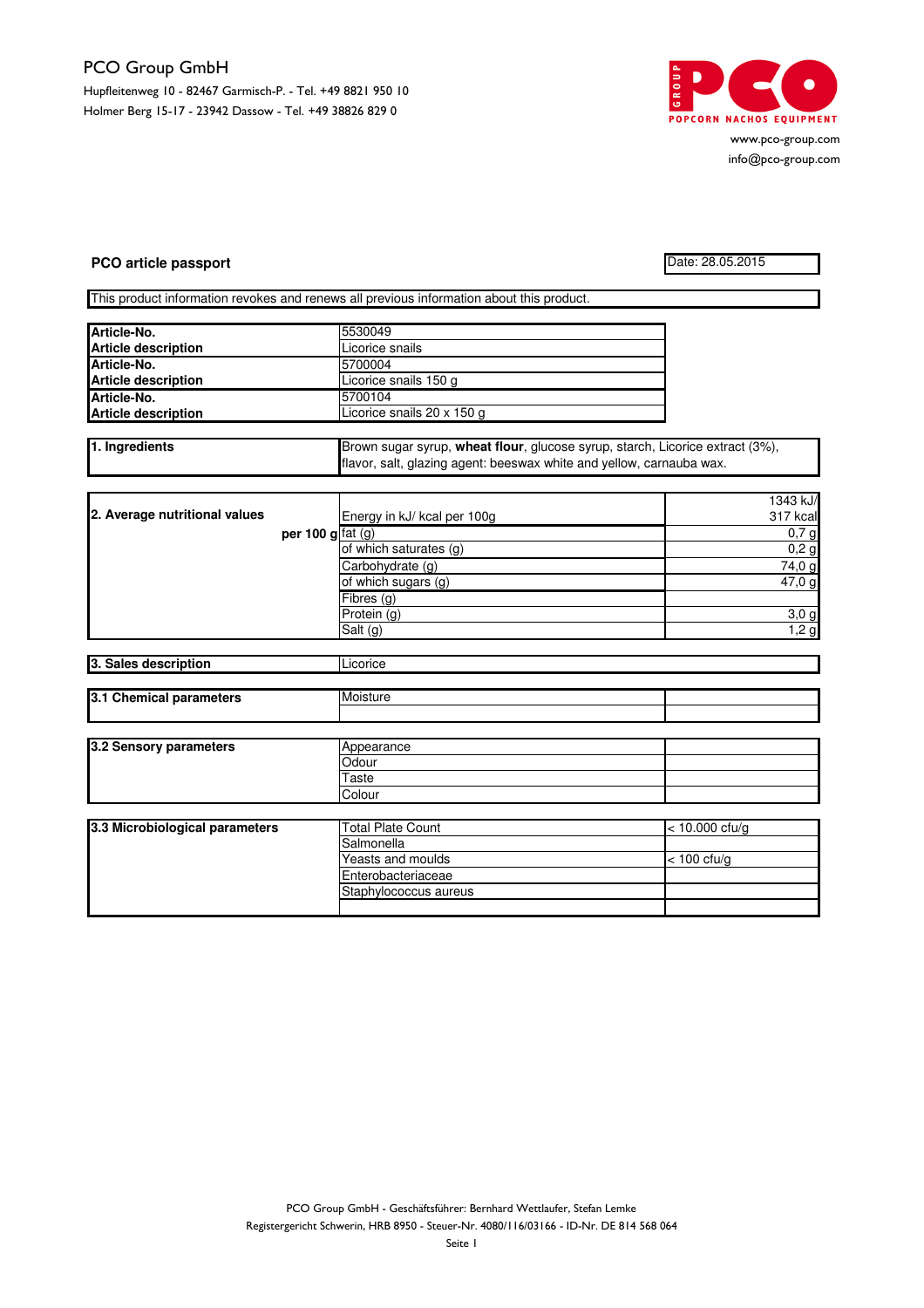## PCO Group GmbH Hupfleitenweg 10 - 82467 Garmisch-P. - Tel. +49 8821 950 10 Holmer Berg 15-17 - 23942 Dassow - Tel. +49 38826 829 0



www.pco-group.com info@pco-group.com

## **PCO article passport** Date: 28.05.2015

This product information revokes and renews all previous information about this product.

| Article-No.                | 5530049                    |  |
|----------------------------|----------------------------|--|
| <b>Article description</b> | Licorice snails            |  |
| Article-No.                | 5700004                    |  |
| <b>Article description</b> | Licorice snails 150 g      |  |
| Article-No.                | 5700104                    |  |
| <b>Article description</b> | Licorice snails 20 x 150 g |  |

| 1. Ingredients | Brown sugar syrup, wheat flour, glucose syrup, starch, Licorice extract (3%), |  |  |
|----------------|-------------------------------------------------------------------------------|--|--|
|                | flavor, salt, glazing agent: beeswax white and yellow, carnauba wax.          |  |  |
|                |                                                                               |  |  |

|                               |                          |                             | 1343 kJ/ |
|-------------------------------|--------------------------|-----------------------------|----------|
| 2. Average nutritional values |                          | Energy in kJ/ kcal per 100g | 317 kcal |
|                               | per 100 g $\int$ fat (g) |                             | 0,7g     |
|                               |                          | of which saturates (g)      | 0,2g     |
|                               |                          | Carbohydrate (g)            | 74,0 g   |
|                               |                          | of which sugars (g)         | 47,0 g   |
|                               |                          | Fibres(q)                   |          |
|                               |                          | Protein (g)                 | 3,0g     |
|                               |                          | Salt (g)                    | 1,2g     |

| 3. Sales description    |            | Licorice |  |
|-------------------------|------------|----------|--|
|                         |            |          |  |
| 3.1 Chemical parameters | Moisture   |          |  |
|                         |            |          |  |
|                         |            |          |  |
| 3.2 Sensory parameters  | Appearance |          |  |
|                         | Odour      |          |  |
|                         | Taste      |          |  |
|                         | Colour     |          |  |

| 3.3 Microbiological parameters | <b>Total Plate Count</b>   | $<$ 10.000 cfu/g |
|--------------------------------|----------------------------|------------------|
|                                | <b>ISalmonella</b>         |                  |
|                                | Yeasts and moulds          | $<$ 100 cfu/g    |
|                                | <b>IEnterobacteriaceae</b> |                  |
|                                | Staphylococcus aureus      |                  |
|                                |                            |                  |